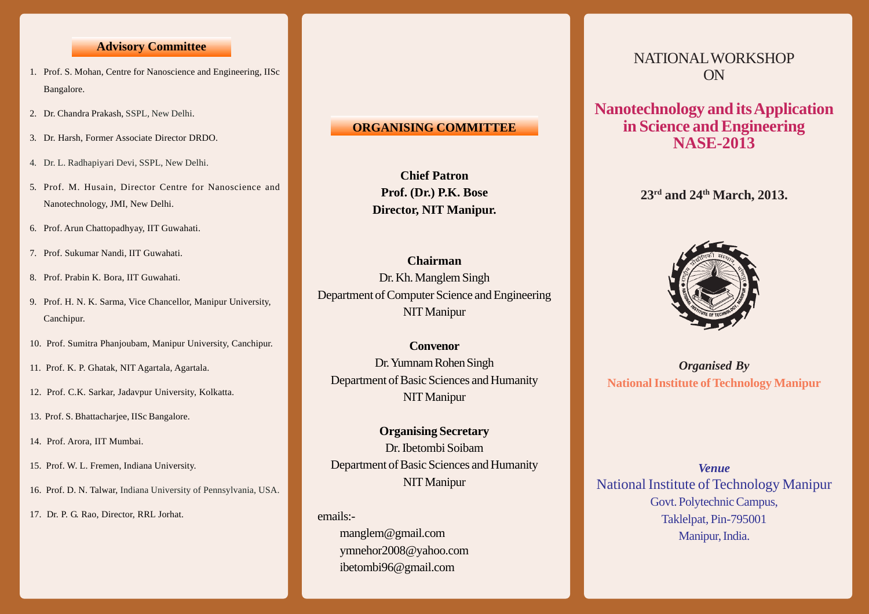## **Advisory Committee**

- 1. Prof. S. Mohan, Centre for Nanoscience and Engineering, IISc Bangalore.
- 2. Dr. Chandra Prakash, SSPL, New Delhi.
- 3. Dr. Harsh, Former Associate Director DRDO.
- 4. Dr. L. Radhapiyari Devi, SSPL, New Delhi.
- 5. Prof. M. Husain, Director Centre for Nanoscience and Nanotechnology, JMI, New Delhi.
- 6. Prof. Arun Chattopadhyay, IIT Guwahati.
- 7. Prof. Sukumar Nandi, IIT Guwahati.
- 8. Prof. Prabin K. Bora, IIT Guwahati.
- 9. Prof. H. N. K. Sarma, Vice Chancellor, Manipur University, Canchipur.
- 10. Prof. Sumitra Phanjoubam, Manipur University, Canchipur.
- 11. Prof. K. P. Ghatak, NIT Agartala, Agartala.
- 12. Prof. C.K. Sarkar, Jadavpur University, Kolkatta.
- 13. Prof. S. Bhattacharjee, IISc Bangalore.
- 14. Prof. Arora, IIT Mumbai.
- 15. Prof. W. L. Fremen, Indiana University.
- 16. Prof. D. N. Talwar, Indiana University of Pennsylvania, USA.
- 17. Dr. P. G. Rao, Director, RRL Jorhat.

## **ORGANISING COMMITTEE**

**Chief Patron Prof. (Dr.) P.K. Bose Director, NIT Manipur.**

**Chairman** Dr. Kh. Manglem Singh Department of Computer Science and Engineering NIT Manipur

**Convenor** Dr. Yumnam Rohen Singh Department of Basic Sciences and Humanity NIT Manipur

**Organising Secretary** Dr. Ibetombi Soibam Department of Basic Sciences and Humanity NIT Manipur

emails:-

 manglem@gmail.com ymnehor2008@yahoo.com ibetombi96@gmail.com

# NATIONAL WORKSHOP ON

**Nanotechnology and its Application in Science and Engineering NASE-2013**

**23rd and 24th March, 2013.**



*Organised By* **National Institute of Technology Manipur**

*Venue* National Institute of Technology Manipur Govt. Polytechnic Campus, Taklelpat, Pin-795001 Manipur, India.